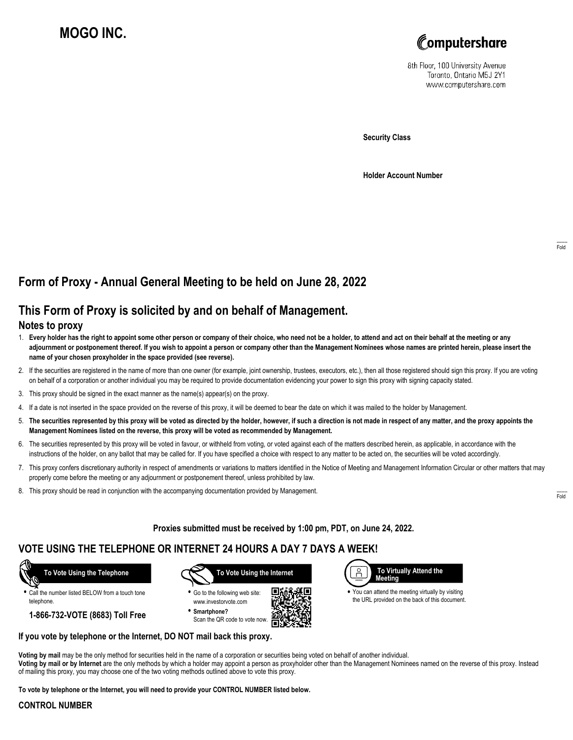# **MOGO INC.**



8th Floor, 100 University Avenue Toronto, Ontario M5J 2Y1 www.computershare.com

**Security Class**

**Holder Account Number**

# **Form of Proxy - Annual General Meeting to be held on June 28, 2022**

## **This Form of Proxy is solicited by and on behalf of Management.**

#### **Notes to proxy**

- 1. **Every holder has the right to appoint some other person or company of their choice, who need not be a holder, to attend and act on their behalf at the meeting or any adjournment or postponement thereof. If you wish to appoint a person or company other than the Management Nominees whose names are printed herein, please insert the name of your chosen proxyholder in the space provided (see reverse).**
- 2. If the securities are registered in the name of more than one owner (for example, joint ownership, trustees, executors, etc.), then all those registered should sign this proxy. If you are voting on behalf of a corporation or another individual you may be required to provide documentation evidencing your power to sign this proxy with signing capacity stated.
- 3. This proxy should be signed in the exact manner as the name(s) appear(s) on the proxy.
- 4. If a date is not inserted in the space provided on the reverse of this proxy, it will be deemed to bear the date on which it was mailed to the holder by Management.
- 5. **The securities represented by this proxy will be voted as directed by the holder, however, if such a direction is not made in respect of any matter, and the proxy appoints the Management Nominees listed on the reverse, this proxy will be voted as recommended by Management.**
- 6. The securities represented by this proxy will be voted in favour, or withheld from voting, or voted against each of the matters described herein, as applicable, in accordance with the instructions of the holder, on any ballot that may be called for. If you have specified a choice with respect to any matter to be acted on, the securities will be voted accordingly.
- 7. This proxy confers discretionary authority in respect of amendments or variations to matters identified in the Notice of Meeting and Management Information Circular or other matters that may properly come before the meeting or any adjournment or postponement thereof, unless prohibited by law.
- 8. This proxy should be read in conjunction with the accompanying documentation provided by Management.

**Proxies submitted must be received by 1:00 pm, PDT, on June 24, 2022.**

. Г.

### **VOTE USING THE TELEPHONE OR INTERNET 24 HOURS A DAY 7 DAYS A WEEK!**



**•** Call the number listed BELOW from a touch tone telephone.

**1-866-732-VOTE (8683) Toll Free**



**•** Go to the following web site: www.investorvote.com **• Smartphone?**

Scan the QR code to vote now.



**•** You can attend the meeting virtually by visiting the URL provided on the back of this document.

#### **If you vote by telephone or the Internet, DO NOT mail back this proxy.**

**Voting by mail** may be the only method for securities held in the name of a corporation or securities being voted on behalf of another individual. **Voting by mail or by Internet** are the only methods by which a holder may appoint a person as proxyholder other than the Management Nominees named on the reverse of this proxy. Instead of mailing this proxy, you may choose one of the two voting methods outlined above to vote this proxy.

**To vote by telephone or the Internet, you will need to provide your CONTROL NUMBER listed below.**

#### **CONTROL NUMBER**